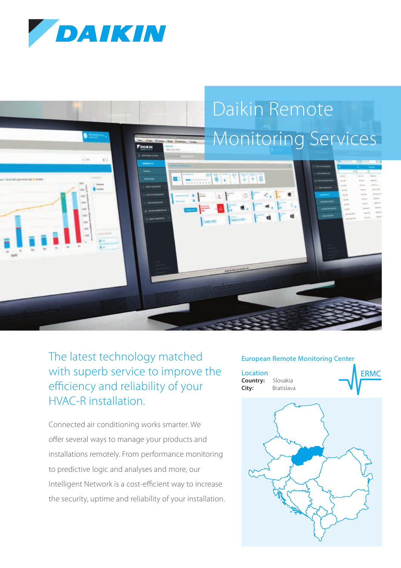



# The latest technology matched with superb service to improve the efficiency and reliability of your HVAC-R installation.

Connected air conditioning works smarter. We offer several ways to manage your products and installations remotely. From performance monitoring to predictive logic and analyses and more, our Intelligent Network is a cost-efficient way to increase the security, uptime and reliability of your installation.

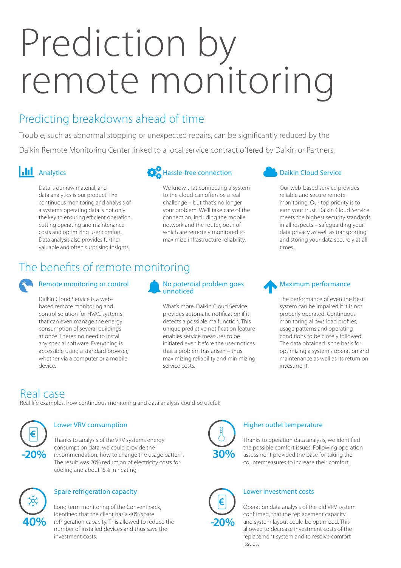# Prediction by remote monitoring

# Predicting breakdowns ahead of time

Trouble, such as abnormal stopping or unexpected repairs, can be significantly reduced by the Daikin Remote Monitoring Center linked to a local service contract offered by Daikin or Partners.

#### **Analytics**

Data is our raw material, and data analytics is our product. The continuous monitoring and analysis of a system's operating data is not only the key to ensuring efficient operation, cutting operating and maintenance costs and optimizing user comfort. Data analysis also provides further valuable and often surprising insights.

### Hassle-free connection

We know that connecting a system to the cloud can often be a real challenge – but that's no longer your problem. We'll take care of the connection, including the mobile network and the router, both of which are remotely monitored to maximize infrastructure reliability.

#### Daikin Cloud Service

Our web-based service provides reliable and secure remote monitoring. Our top priority is to earn your trust. Daikin Cloud Service meets the highest security standards in all respects – safeguarding your data privacy as well as transporting and storing your data securely at all times.

# The benefits of remote monitoring

#### Remote monitoring or control

Daikin Cloud Service is a webbased remote monitoring and control solution for HVAC systems that can even manage the energy consumption of several buildings at once. There's no need to install any special software. Everything is accessible using a standard browser, whether via a computer or a mobile device.

#### No potential problem goes unnoticed

What's more, Daikin Cloud Service provides automatic notification if it detects a possible malfunction. This unique predictive notification feature enables service measures to be initiated even before the user notices that a problem has arisen – thus maximizing reliability and minimizing service costs.

#### Maximum performance

The performance of even the best system can be impaired if it is not properly operated. Continuous monitoring allows load profiles, usage patterns and operating conditions to be closely followed. The data obtained is the basis for optimizing a system's operation and maintenance as well as its return on investment.

### Real case

Real life examples, how continuous monitoring and data analysis could be useful:



#### Lower VRV consumption

Thanks to analysis of the VRV systems energy consumption data, we could provide the recommendation, how to change the usage pattern. The result was 20% reduction of electricity costs for cooling and about 15% in heating.



#### Spare refrigeration capacity

Long term monitoring of the Conveni pack, identified that the client has a 40% spare refrigeration capacity. This allowed to reduce the number of installed devices and thus save the investment costs.



#### Higher outlet temperature

Thanks to operation data analysis, we identified the possible comfort issues. Following operation assessment provided the base for taking the countermeasures to increase their comfort.



#### Lower investment costs

Operation data analysis of the old VRV system confirmed, that the replacement capacity and system layout could be optimized. This allowed to decrease investment costs of the replacement system and to resolve comfort issues.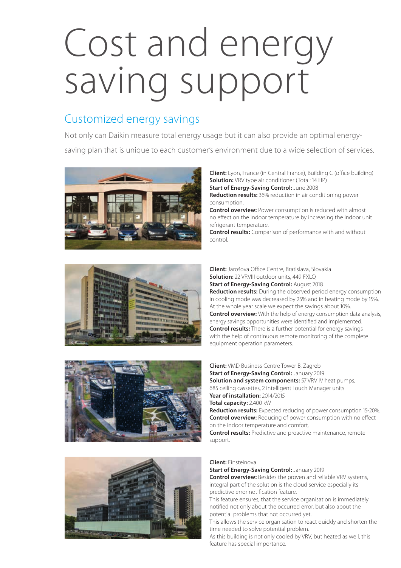# Cost and energy saving support

# Customized energy savings

Not only can Daikin measure total energy usage but it can also provide an optimal energysaving plan that is unique to each customer's environment due to a wide selection of services.



**Client:** Lyon, France (in Central France), Building C (office building) **Solution:** VRV type air conditioner (Total: 14 HP) **Start of Energy-Saving Control:** June 2008 **Reduction results:** 36% reduction in air conditioning power consumption.

**Control overview:** Power consumption is reduced with almost no effect on the indoor temperature by increasing the indoor unit refrigerant temperature.

**Control results:** Comparison of performance with and without control.



**Client:** Jarošova Office Centre, Bratislava, Slovakia **Solution:** 22 VRVIII outdoor units, 449 FXLQ **Start of Energy-Saving Control:** August 2018 **Reduction results:** During the observed period energy consumption in cooling mode was decreased by 25% and in heating mode by 15%. At the whole year scale we expect the savings about 10%. **Control overview:** With the help of energy consumption data analysis, energy savings opportunities were identified and implemented. **Control results:** There is a further potential for energy savings with the help of continuous remote monitoring of the complete equipment operation parameters.





**Client:** VMD Business Centre Tower B, Zagreb **Start of Energy-Saving Control:** January 2019 **Solution and system components:** 57 VRV IV heat pumps, 685 ceiling cassettes, 2 intelligent Touch Manager units **Year of installation:** 2014/2015 **Total capacity:** 2.400 kW **Reduction results:** Expected reducing of power consumption 15-20%. **Control overview:** Reducing of power consumption with no effect on the indoor temperature and comfort.

**Control results:** Predictive and proactive maintenance, remote support.

#### **Client:** Einsteinova

**Start of Energy-Saving Control:** January 2019 **Control overview:** Besides the proven and reliable VRV systems, integral part of the solution is the cloud service especially its predictive error notification feature.

This feature ensures, that the service organisation is immediately notified not only about the occurred error, but also about the potential problems that not occurred yet.

This allows the service organisation to react quickly and shorten the time needed to solve potential problem.

As this building is not only cooled by VRV, but heated as well, this feature has special importance.